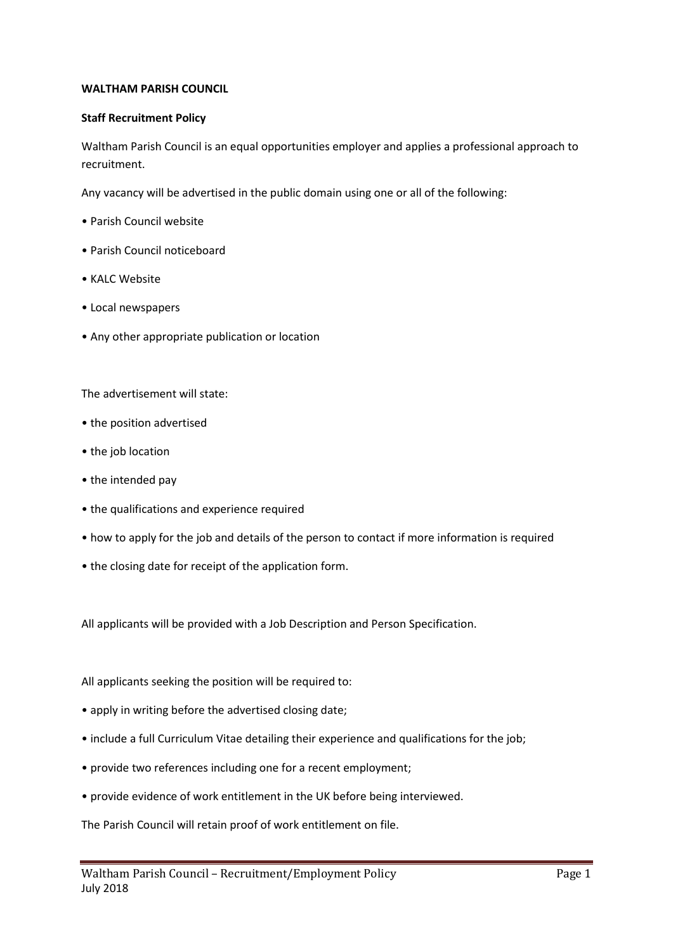## **WALTHAM PARISH COUNCIL**

## **Staff Recruitment Policy**

Waltham Parish Council is an equal opportunities employer and applies a professional approach to recruitment.

Any vacancy will be advertised in the public domain using one or all of the following:

- Parish Council website
- Parish Council noticeboard
- KALC Website
- Local newspapers
- Any other appropriate publication or location

The advertisement will state:

- the position advertised
- the job location
- the intended pay
- the qualifications and experience required
- how to apply for the job and details of the person to contact if more information is required
- the closing date for receipt of the application form.

All applicants will be provided with a Job Description and Person Specification.

All applicants seeking the position will be required to:

- apply in writing before the advertised closing date;
- include a full Curriculum Vitae detailing their experience and qualifications for the job;
- provide two references including one for a recent employment;
- provide evidence of work entitlement in the UK before being interviewed.

The Parish Council will retain proof of work entitlement on file.